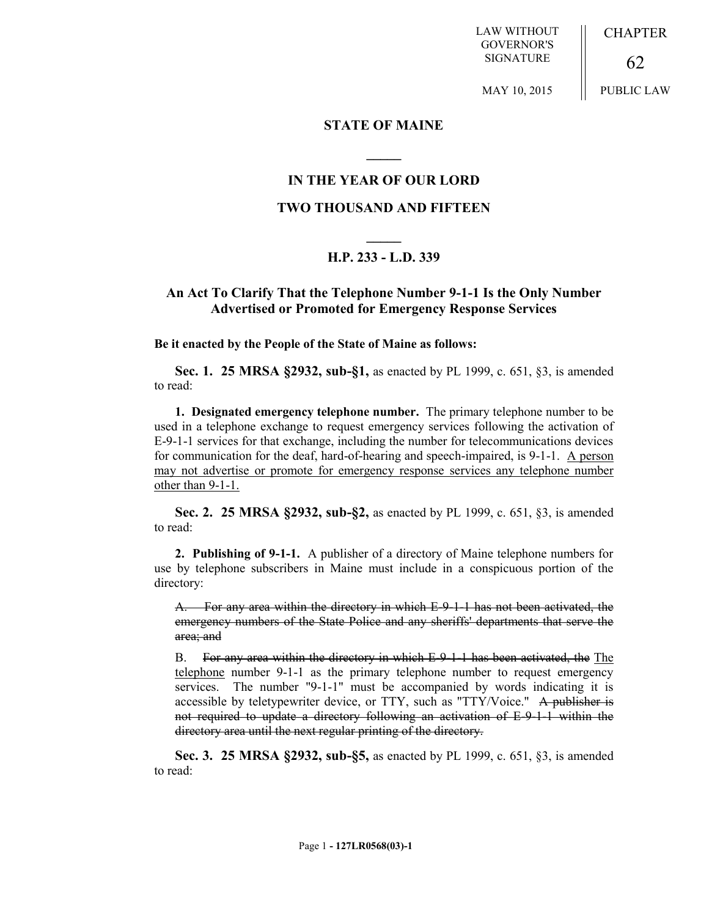LAW WITHOUT GOVERNOR'S SIGNATURE

MAY 10, 2015

**CHAPTER** 

PUBLIC LAW

62

#### **STATE OF MAINE**

### **IN THE YEAR OF OUR LORD**

**\_\_\_\_\_**

### **TWO THOUSAND AND FIFTEEN**

# **\_\_\_\_\_ H.P. 233 - L.D. 339**

## **An Act To Clarify That the Telephone Number 9-1-1 Is the Only Number Advertised or Promoted for Emergency Response Services**

**Be it enacted by the People of the State of Maine as follows:**

**Sec. 1. 25 MRSA §2932, sub-§1,** as enacted by PL 1999, c. 651, §3, is amended to read:

**1. Designated emergency telephone number.** The primary telephone number to be used in a telephone exchange to request emergency services following the activation of E-9-1-1 services for that exchange, including the number for telecommunications devices for communication for the deaf, hard-of-hearing and speech-impaired, is 9-1-1. A person may not advertise or promote for emergency response services any telephone number other than 9-1-1.

**Sec. 2. 25 MRSA §2932, sub-§2,** as enacted by PL 1999, c. 651, §3, is amended to read:

**2. Publishing of 9-1-1.** A publisher of a directory of Maine telephone numbers for use by telephone subscribers in Maine must include in a conspicuous portion of the directory:

A. For any area within the directory in which E-9-1-1 has not been activated, the emergency numbers of the State Police and any sheriffs' departments that serve the area; and

B. For any area within the directory in which E-9-1-1 has been activated, the The telephone number 9-1-1 as the primary telephone number to request emergency services. The number "9-1-1" must be accompanied by words indicating it is accessible by teletypewriter device, or TTY, such as "TTY/Voice." A publisher is not required to update a directory following an activation of E-9-1-1 within the directory area until the next regular printing of the directory.

**Sec. 3. 25 MRSA §2932, sub-§5,** as enacted by PL 1999, c. 651, §3, is amended to read: